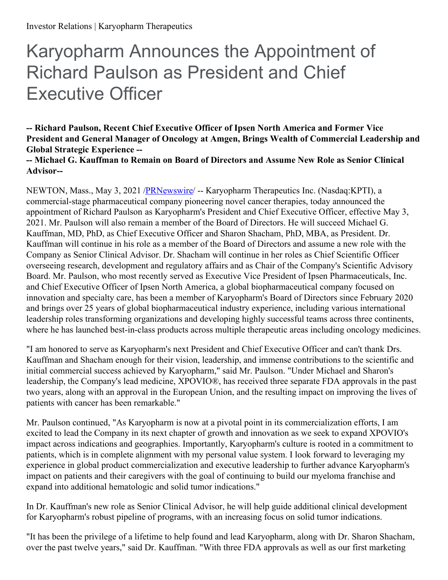# Karyopharm Announces the Appointment of Richard Paulson as President and Chief Executive Officer

**-- Richard Paulson, Recent Chief Executive Officer of Ipsen North America and Former Vice President and General Manager of Oncology at Amgen, Brings Wealth of Commercial Leadership and Global Strategic Experience --**

**-- Michael G. Kauffman to Remain on Board of Directors and Assume New Role as Senior Clinical Advisor--**

NEWTON, Mass., May 3, 2021 [/PRNewswire](http://www.prnewswire.com/)/ -- Karyopharm Therapeutics Inc. (Nasdaq:KPTI), a commercial-stage pharmaceutical company pioneering novel cancer therapies, today announced the appointment of Richard Paulson as Karyopharm's President and Chief Executive Officer, effective May 3, 2021. Mr. Paulson will also remain a member of the Board of Directors. He will succeed Michael G. Kauffman, MD, PhD, as Chief Executive Officer and Sharon Shacham, PhD, MBA, as President. Dr. Kauffman will continue in his role as a member of the Board of Directors and assume a new role with the Company as Senior Clinical Advisor. Dr. Shacham will continue in her roles as Chief Scientific Officer overseeing research, development and regulatory affairs and as Chair of the Company's Scientific Advisory Board. Mr. Paulson, who most recently served as Executive Vice President of Ipsen Pharmaceuticals, Inc. and Chief Executive Officer of Ipsen North America, a global biopharmaceutical company focused on innovation and specialty care, has been a member of Karyopharm's Board of Directors since February 2020 and brings over 25 years of global biopharmaceutical industry experience, including various international leadership roles transforming organizations and developing highly successful teams across three continents, where he has launched best-in-class products across multiple therapeutic areas including oncology medicines.

"I am honored to serve as Karyopharm's next President and Chief Executive Officer and can't thank Drs. Kauffman and Shacham enough for their vision, leadership, and immense contributions to the scientific and initial commercial success achieved by Karyopharm," said Mr. Paulson. "Under Michael and Sharon's leadership, the Company's lead medicine, XPOVIO®, has received three separate FDA approvals in the past two years, along with an approval in the European Union, and the resulting impact on improving the lives of patients with cancer has been remarkable."

Mr. Paulson continued, "As Karyopharm is now at a pivotal point in its commercialization efforts, I am excited to lead the Company in its next chapter of growth and innovation as we seek to expand XPOVIO's impact across indications and geographies. Importantly, Karyopharm's culture is rooted in a commitment to patients, which is in complete alignment with my personal value system. I look forward to leveraging my experience in global product commercialization and executive leadership to further advance Karyopharm's impact on patients and their caregivers with the goal of continuing to build our myeloma franchise and expand into additional hematologic and solid tumor indications."

In Dr. Kauffman's new role as Senior Clinical Advisor, he will help guide additional clinical development for Karyopharm's robust pipeline of programs, with an increasing focus on solid tumor indications.

"It has been the privilege of a lifetime to help found and lead Karyopharm, along with Dr. Sharon Shacham, over the past twelve years," said Dr. Kauffman. "With three FDA approvals as well as our first marketing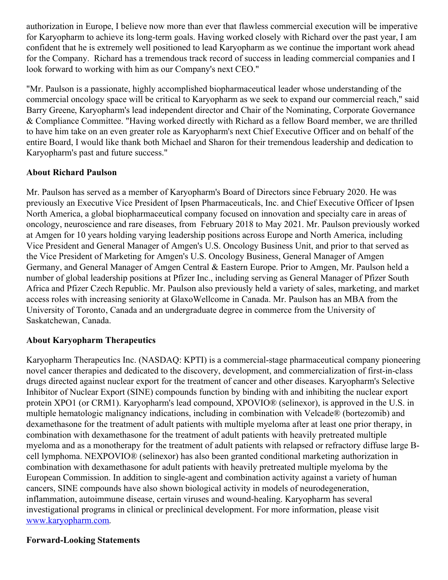authorization in Europe, I believe now more than ever that flawless commercial execution will be imperative for Karyopharm to achieve its long-term goals. Having worked closely with Richard over the past year, I am confident that he is extremely well positioned to lead Karyopharm as we continue the important work ahead for the Company. Richard has a tremendous track record of success in leading commercial companies and I look forward to working with him as our Company's next CEO."

"Mr. Paulson is a passionate, highly accomplished biopharmaceutical leader whose understanding of the commercial oncology space will be critical to Karyopharm as we seek to expand our commercial reach," said Barry Greene, Karyopharm's lead independent director and Chair of the Nominating, Corporate Governance & Compliance Committee. "Having worked directly with Richard as a fellow Board member, we are thrilled to have him take on an even greater role as Karyopharm's next Chief Executive Officer and on behalf of the entire Board, I would like thank both Michael and Sharon for their tremendous leadership and dedication to Karyopharm's past and future success."

## **About Richard Paulson**

Mr. Paulson has served as a member of Karyopharm's Board of Directors since February 2020. He was previously an Executive Vice President of Ipsen Pharmaceuticals, Inc. and Chief Executive Officer of Ipsen North America, a global biopharmaceutical company focused on innovation and specialty care in areas of oncology, neuroscience and rare diseases, from February 2018 to May 2021. Mr. Paulson previously worked at Amgen for 10 years holding varying leadership positions across Europe and North America, including Vice President and General Manager of Amgen's U.S. Oncology Business Unit, and prior to that served as the Vice President of Marketing for Amgen's U.S. Oncology Business, General Manager of Amgen Germany, and General Manager of Amgen Central & Eastern Europe. Prior to Amgen, Mr. Paulson held a number of global leadership positions at Pfizer Inc., including serving as General Manager of Pfizer South Africa and Pfizer Czech Republic. Mr. Paulson also previously held a variety of sales, marketing, and market access roles with increasing seniority at GlaxoWellcome in Canada. Mr. Paulson has an MBA from the University of Toronto, Canada and an undergraduate degree in commerce from the University of Saskatchewan, Canada.

## **About Karyopharm Therapeutics**

Karyopharm Therapeutics Inc. (NASDAQ: KPTI) is a commercial-stage pharmaceutical company pioneering novel cancer therapies and dedicated to the discovery, development, and commercialization of first-in-class drugs directed against nuclear export for the treatment of cancer and other diseases. Karyopharm's Selective Inhibitor of Nuclear Export (SINE) compounds function by binding with and inhibiting the nuclear export protein XPO1 (or CRM1). Karyopharm's lead compound, XPOVIO® (selinexor), is approved in the U.S. in multiple hematologic malignancy indications, including in combination with Velcade® (bortezomib) and dexamethasone for the treatment of adult patients with multiple myeloma after at least one prior therapy, in combination with dexamethasone for the treatment of adult patients with heavily pretreated multiple myeloma and as a monotherapy for the treatment of adult patients with relapsed or refractory diffuse large Bcell lymphoma. NEXPOVIO® (selinexor) has also been granted conditional marketing authorization in combination with dexamethasone for adult patients with heavily pretreated multiple myeloma by the European Commission. In addition to single-agent and combination activity against a variety of human cancers, SINE compounds have also shown biological activity in models of neurodegeneration, inflammation, autoimmune disease, certain viruses and wound-healing. Karyopharm has several investigational programs in clinical or preclinical development. For more information, please visit [www.karyopharm.com](http://www.karyopharm.com).

#### **Forward-Looking Statements**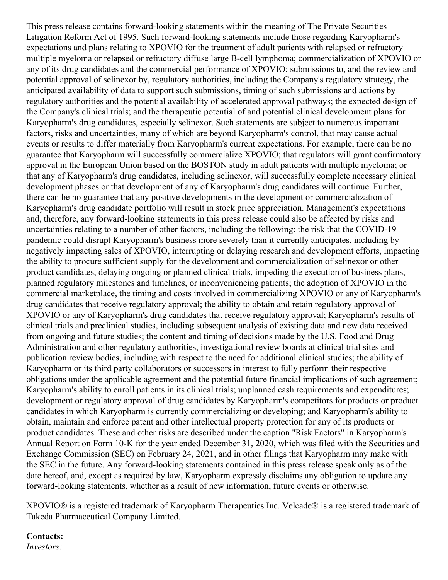This press release contains forward-looking statements within the meaning of The Private Securities Litigation Reform Act of 1995. Such forward-looking statements include those regarding Karyopharm's expectations and plans relating to XPOVIO for the treatment of adult patients with relapsed or refractory multiple myeloma or relapsed or refractory diffuse large B-cell lymphoma; commercialization of XPOVIO or any of its drug candidates and the commercial performance of XPOVIO; submissions to, and the review and potential approval of selinexor by, regulatory authorities, including the Company's regulatory strategy, the anticipated availability of data to support such submissions, timing of such submissions and actions by regulatory authorities and the potential availability of accelerated approval pathways; the expected design of the Company's clinical trials; and the therapeutic potential of and potential clinical development plans for Karyopharm's drug candidates, especially selinexor. Such statements are subject to numerous important factors, risks and uncertainties, many of which are beyond Karyopharm's control, that may cause actual events or results to differ materially from Karyopharm's current expectations. For example, there can be no guarantee that Karyopharm will successfully commercialize XPOVIO; that regulators will grant confirmatory approval in the European Union based on the BOSTON study in adult patients with multiple myeloma; or that any of Karyopharm's drug candidates, including selinexor, will successfully complete necessary clinical development phases or that development of any of Karyopharm's drug candidates will continue. Further, there can be no guarantee that any positive developments in the development or commercialization of Karyopharm's drug candidate portfolio will result in stock price appreciation. Management's expectations and, therefore, any forward-looking statements in this press release could also be affected by risks and uncertainties relating to a number of other factors, including the following: the risk that the COVID-19 pandemic could disrupt Karyopharm's business more severely than it currently anticipates, including by negatively impacting sales of XPOVIO, interrupting or delaying research and development efforts, impacting the ability to procure sufficient supply for the development and commercialization of selinexor or other product candidates, delaying ongoing or planned clinical trials, impeding the execution of business plans, planned regulatory milestones and timelines, or inconveniencing patients; the adoption of XPOVIO in the commercial marketplace, the timing and costs involved in commercializing XPOVIO or any of Karyopharm's drug candidates that receive regulatory approval; the ability to obtain and retain regulatory approval of XPOVIO or any of Karyopharm's drug candidates that receive regulatory approval; Karyopharm's results of clinical trials and preclinical studies, including subsequent analysis of existing data and new data received from ongoing and future studies; the content and timing of decisions made by the U.S. Food and Drug Administration and other regulatory authorities, investigational review boards at clinical trial sites and publication review bodies, including with respect to the need for additional clinical studies; the ability of Karyopharm or its third party collaborators or successors in interest to fully perform their respective obligations under the applicable agreement and the potential future financial implications of such agreement; Karyopharm's ability to enroll patients in its clinical trials; unplanned cash requirements and expenditures; development or regulatory approval of drug candidates by Karyopharm's competitors for products or product candidates in which Karyopharm is currently commercializing or developing; and Karyopharm's ability to obtain, maintain and enforce patent and other intellectual property protection for any of its products or product candidates. These and other risks are described under the caption "Risk Factors" in Karyopharm's Annual Report on Form 10-K for the year ended December 31, 2020, which was filed with the Securities and Exchange Commission (SEC) on February 24, 2021, and in other filings that Karyopharm may make with the SEC in the future. Any forward-looking statements contained in this press release speak only as of the date hereof, and, except as required by law, Karyopharm expressly disclaims any obligation to update any forward-looking statements, whether as a result of new information, future events or otherwise.

XPOVIO® is a registered trademark of Karyopharm Therapeutics Inc. Velcade® is a registered trademark of Takeda Pharmaceutical Company Limited.

#### **Contacts:**

*Investors:*